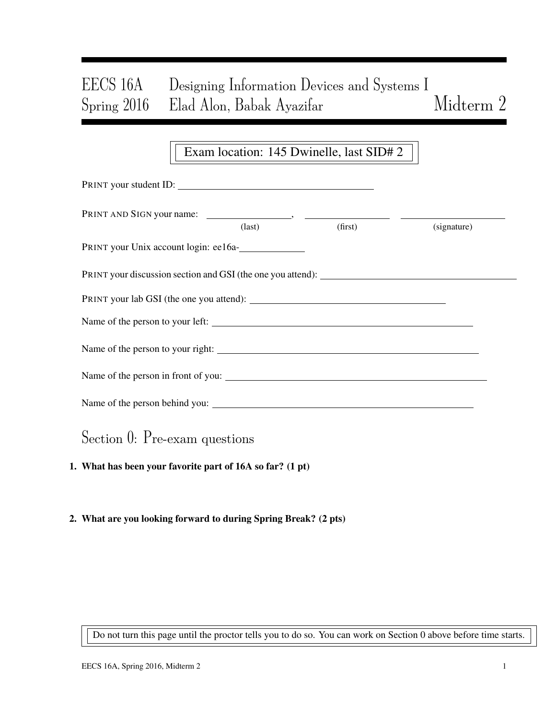# EECS 16A Designing Information Devices and Systems I Spring 2016 Elad Alon, Babak Ayazifar Midterm 2

### Exam location: 145 Dwinelle, last SID# 2

| PRINT your student ID:                                                            |               |         |             |
|-----------------------------------------------------------------------------------|---------------|---------|-------------|
|                                                                                   | $\frac{1}{2}$ | (first) | (signature) |
| PRINT your Unix account login: ee16a-                                             |               |         |             |
| PRINT your discussion section and GSI (the one you attend): _____________________ |               |         |             |
|                                                                                   |               |         |             |
| Name of the person to your left:                                                  |               |         |             |
|                                                                                   |               |         |             |
| Name of the person in front of you:                                               |               |         |             |
|                                                                                   |               |         |             |
| Section 0: Pre-exam questions                                                     |               |         |             |

1. What has been your favorite part of 16A so far? (1 pt)

#### 2. What are you looking forward to during Spring Break? (2 pts)

Do not turn this page until the proctor tells you to do so. You can work on Section 0 above before time starts.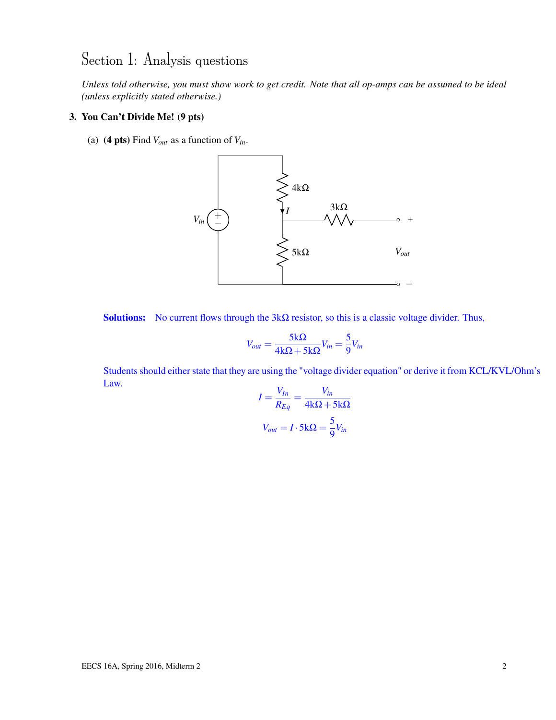## Section 1: Analysis questions

*Unless told otherwise, you must show work to get credit. Note that all op-amps can be assumed to be ideal (unless explicitly stated otherwise.)*

#### 3. You Can't Divide Me! (9 pts)

(a) (4 pts) Find  $V_{out}$  as a function of  $V_{in}$ .



Solutions: No current flows through the  $3k\Omega$  resistor, so this is a classic voltage divider. Thus,

$$
V_{out} = \frac{5k\Omega}{4k\Omega + 5k\Omega} V_{in} = \frac{5}{9} V_{in}
$$

Students should either state that they are using the "voltage divider equation" or derive it from KCL/KVL/Ohm's Law. *Vin*

$$
I = \frac{V_{In}}{R_{Eq}} = \frac{V_{in}}{4k\Omega + 5k\Omega}
$$

$$
V_{out} = I \cdot 5k\Omega = \frac{5}{9}V_{in}
$$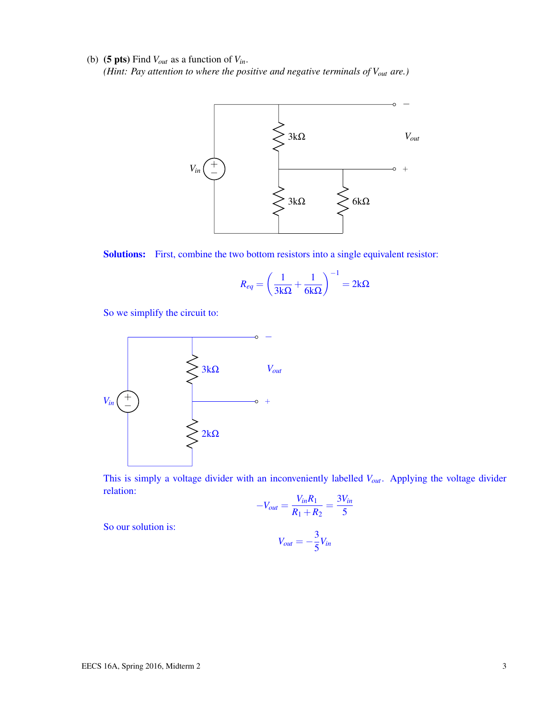(b) (5 pts) Find  $V_{out}$  as a function of  $V_{in}$ . *(Hint: Pay attention to where the positive and negative terminals of Vout are.)*





$$
R_{eq} = \left(\frac{1}{3k\Omega} + \frac{1}{6k\Omega}\right)^{-1} = 2k\Omega
$$

So we simplify the circuit to:



This is simply a voltage divider with an inconveniently labelled *Vout*. Applying the voltage divider relation:

$$
-V_{out} = \frac{V_{in}R_1}{R_1 + R_2} = \frac{3V_{in}}{5}
$$

So our solution is:

$$
V_{out} = -\frac{3}{5}V_{in}
$$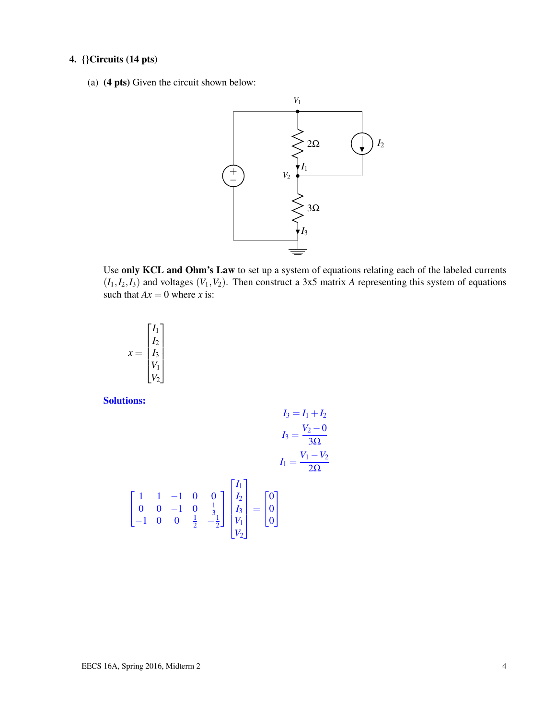#### 4. {}Circuits (14 pts)

(a) (4 pts) Given the circuit shown below:



Use only KCL and Ohm's Law to set up a system of equations relating each of the labeled currents  $(I_1, I_2, I_3)$  and voltages  $(V_1, V_2)$ . Then construct a 3x5 matrix *A* representing this system of equations such that  $Ax = 0$  where *x* is:

$$
x = \begin{bmatrix} I_1 \\ I_2 \\ I_3 \\ V_1 \\ V_2 \end{bmatrix}
$$

Solutions:

 $\sqrt{ }$  $\mathbf{I}$ 

$$
I_3 = I_1 + I_2
$$
  
\n
$$
I_3 = \frac{V_2 - 0}{3\Omega}
$$
  
\n
$$
I_1 = \frac{V_1 - V_2}{2\Omega}
$$
  
\n
$$
I_1 = \frac{V_1 - V_2}{2\Omega}
$$
  
\n
$$
I_1 = \frac{V_1 - V_2}{2\Omega}
$$
  
\n
$$
I_0 = \begin{bmatrix} 0 \\ 0 \\ V_1 \\ V_2 \end{bmatrix} = \begin{bmatrix} 0 \\ 0 \\ 0 \\ V_2 \end{bmatrix}
$$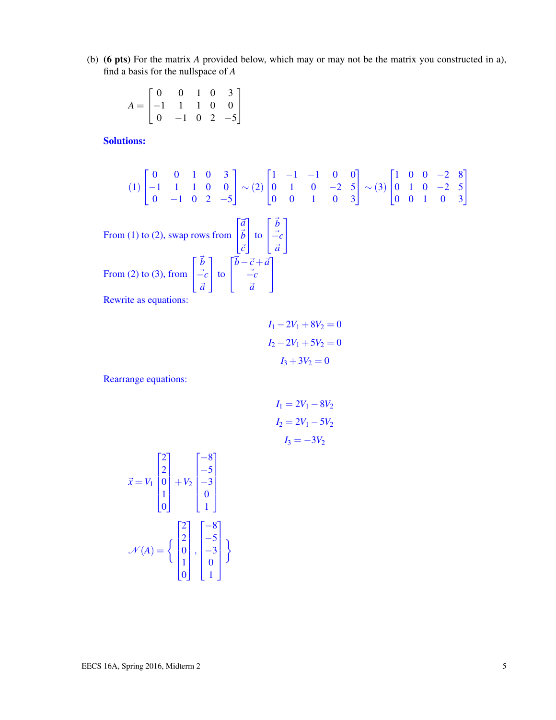(b) (6 pts) For the matrix *A* provided below, which may or may not be the matrix you constructed in a), find a basis for the nullspace of *A*

$$
A = \begin{bmatrix} 0 & 0 & 1 & 0 & 3 \\ -1 & 1 & 1 & 0 & 0 \\ 0 & -1 & 0 & 2 & -5 \end{bmatrix}
$$

Solutions:

$$
(1) \begin{bmatrix} 0 & 0 & 1 & 0 & 3 \\ -1 & 1 & 1 & 0 & 0 \\ 0 & -1 & 0 & 2 & -5 \end{bmatrix} \sim (2) \begin{bmatrix} 1 & -1 & -1 & 0 & 0 \\ 0 & 1 & 0 & -2 & 5 \\ 0 & 0 & 1 & 0 & 3 \end{bmatrix} \sim (3) \begin{bmatrix} 1 & 0 & 0 & -2 & 8 \\ 0 & 1 & 0 & -2 & 5 \\ 0 & 0 & 1 & 0 & 3 \end{bmatrix}
$$
  
From (1) to (2), swap rows from  $\begin{bmatrix} \vec{a} \\ \vec{b} \\ \vec{c} \end{bmatrix}$  to  $\begin{bmatrix} \vec{b} \\ -\vec{c} \\ \vec{a} \end{bmatrix}$   
From (2) to (3), from  $\begin{bmatrix} \vec{b} \\ -\vec{c} \\ \vec{a} \end{bmatrix}$  to  $\begin{bmatrix} \vec{b} - \vec{c} + \vec{a} \\ -\vec{c} \\ \vec{a} \end{bmatrix}$   
Rewrite as equations:

$$
I1 - 2V1 + 8V2 = 0
$$

$$
I2 - 2V1 + 5V2 = 0
$$

$$
I3 + 3V2 = 0
$$

Rearrange equations:

$$
I_1 = 2V_1 - 8V_2
$$
  

$$
I_2 = 2V_1 - 5V_2
$$
  

$$
I_3 = -3V_2
$$

$$
\vec{x} = V_1 \begin{bmatrix} 2 \\ 2 \\ 0 \\ 1 \\ 0 \end{bmatrix} + V_2 \begin{bmatrix} -8 \\ -5 \\ -3 \\ 0 \\ 1 \end{bmatrix}
$$

$$
\mathcal{N}(A) = \left\{ \begin{bmatrix} 2 \\ 2 \\ 0 \\ 1 \\ 0 \end{bmatrix}, \begin{bmatrix} -8 \\ -5 \\ -3 \\ 0 \\ 1 \end{bmatrix} \right\}
$$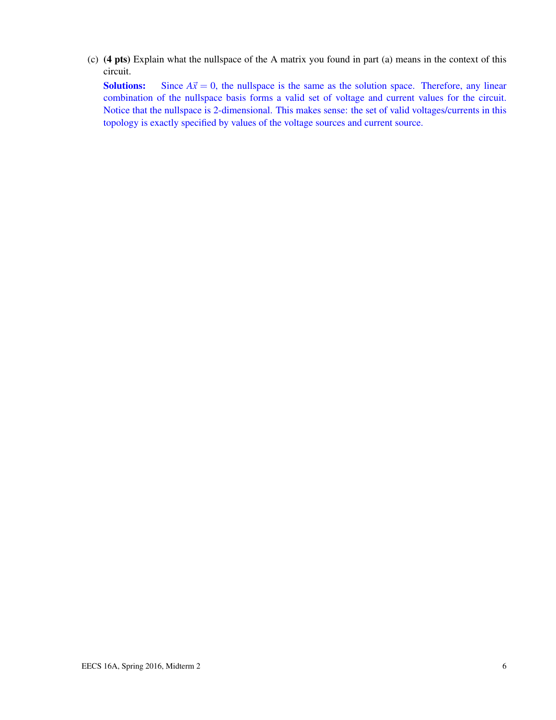(c) (4 pts) Explain what the nullspace of the A matrix you found in part (a) means in the context of this circuit.

**Solutions:** Since  $A\vec{x} = 0$ , the nullspace is the same as the solution space. Therefore, any linear combination of the nullspace basis forms a valid set of voltage and current values for the circuit. Notice that the nullspace is 2-dimensional. This makes sense: the set of valid voltages/currents in this topology is exactly specified by values of the voltage sources and current source.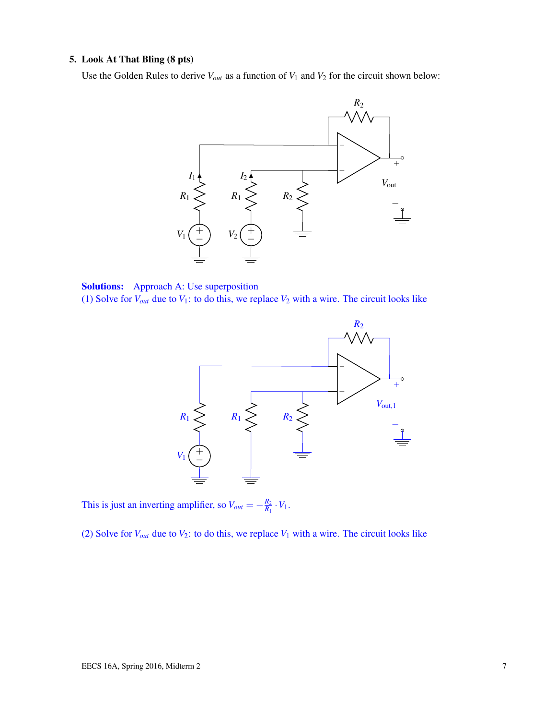#### 5. Look At That Bling (8 pts)

Use the Golden Rules to derive  $V_{out}$  as a function of  $V_1$  and  $V_2$  for the circuit shown below:



Solutions: Approach A: Use superposition (1) Solve for  $V_{out}$  due to  $V_1$ : to do this, we replace  $V_2$  with a wire. The circuit looks like



This is just an inverting amplifier, so  $V_{out} = -\frac{R_2}{R_1}$  $\frac{R_2}{R_1} \cdot V_1$ .

(2) Solve for  $V_{out}$  due to  $V_2$ : to do this, we replace  $V_1$  with a wire. The circuit looks like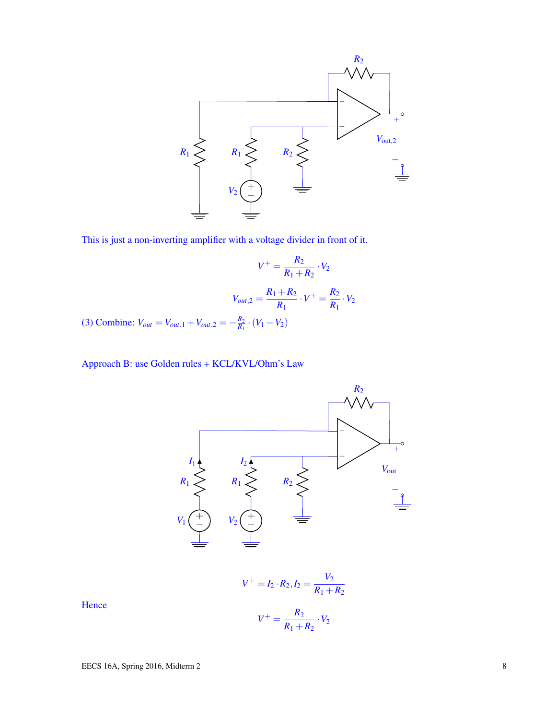

This is just a non-inverting amplifier with a voltage divider in front of it.

$$
V^{+} = \frac{R_{2}}{R_{1} + R_{2}} \cdot V_{2}
$$

$$
V_{out,2} = \frac{R_{1} + R_{2}}{R_{1}} \cdot V^{+} = \frac{R_{2}}{R_{1}} \cdot V_{2}
$$

(3) Combine:  $V_{out} = V_{out,1} + V_{out,2} = -\frac{R_2}{R_1}$  $\frac{R_2}{R_1} \cdot (V_1 - V_2)$ 

Approach B: use Golden rules + KCL/KVL/Ohm's Law



$$
V^+ = I_2 \cdot R_2, I_2 = \frac{V_2}{R_1 + R_2}
$$

**Hence**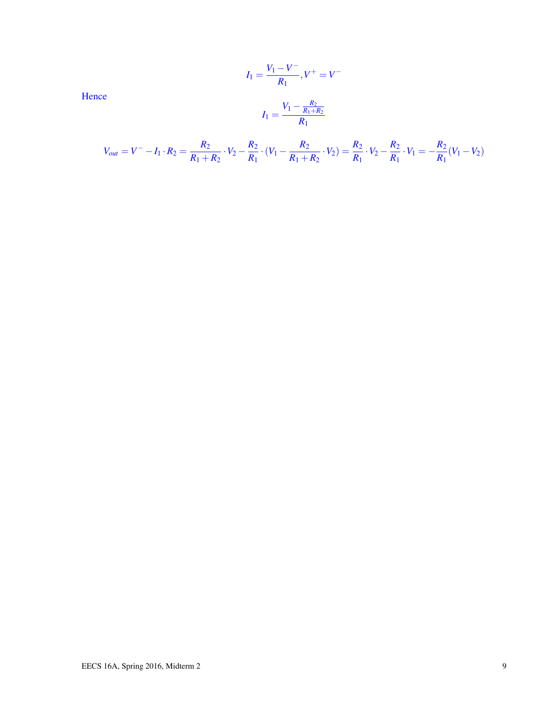Hence

$$
I_1 = \frac{V_1 - V^-}{R_1}, V^+ = V^-
$$

$$
I_1 = \frac{V_1 - \frac{R_2}{R_1 + R_2}}{R_1}
$$

*R*1

$$
V_{out} = V^- - I_1 \cdot R_2 = \frac{R_2}{R_1 + R_2} \cdot V_2 - \frac{R_2}{R_1} \cdot (V_1 - \frac{R_2}{R_1 + R_2} \cdot V_2) = \frac{R_2}{R_1} \cdot V_2 - \frac{R_2}{R_1} \cdot V_1 = -\frac{R_2}{R_1} (V_1 - V_2)
$$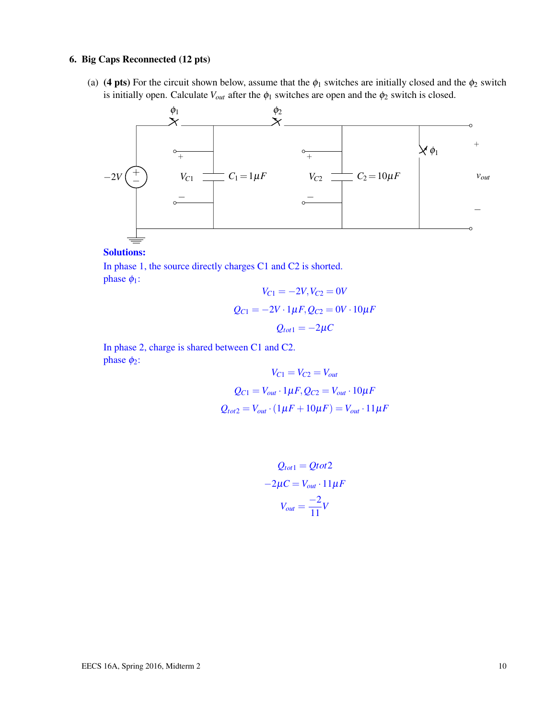#### 6. Big Caps Reconnected (12 pts)

(a) (4 pts) For the circuit shown below, assume that the  $\phi_1$  switches are initially closed and the  $\phi_2$  switch is initially open. Calculate  $V_{out}$  after the  $\phi_1$  switches are open and the  $\phi_2$  switch is closed.



#### Solutions:

In phase 1, the source directly charges C1 and C2 is shorted. phase  $\phi_1$ :

$$
V_{C1} = -2V, V_{C2} = 0V
$$

$$
Q_{C1} = -2V \cdot 1\mu F, Q_{C2} = 0V \cdot 10\mu F
$$

$$
Q_{tot1} = -2\mu C
$$

In phase 2, charge is shared between C1 and C2. phase  $\phi_2$ :

$$
V_{C1} = V_{C2} = V_{out}
$$

$$
Q_{C1} = V_{out} \cdot 1\mu F, Q_{C2} = V_{out} \cdot 10\mu F
$$

$$
Q_{tot2} = V_{out} \cdot (1\mu F + 10\mu F) = V_{out} \cdot 11\mu F
$$

$$
Q_{tot1} = Qtot2
$$

$$
-2\mu C = V_{out} \cdot 11\mu F
$$

$$
V_{out} = \frac{-2}{11}V
$$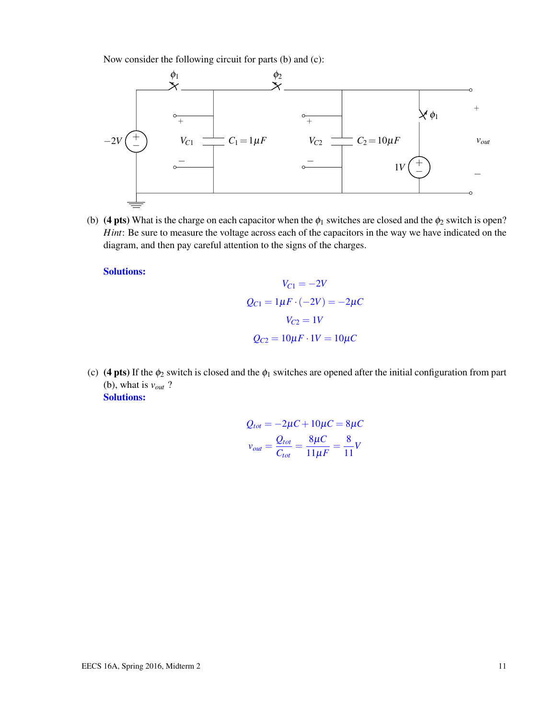Now consider the following circuit for parts (b) and (c):



(b) (4 pts) What is the charge on each capacitor when the  $\phi_1$  switches are closed and the  $\phi_2$  switch is open? *Hint*: Be sure to measure the voltage across each of the capacitors in the way we have indicated on the diagram, and then pay careful attention to the signs of the charges.

Solutions:

$$
V_{C1} = -2V
$$

$$
Q_{C1} = 1\mu F \cdot (-2V) = -2\mu C
$$

$$
V_{C2} = 1V
$$

$$
Q_{C2} = 10\mu F \cdot 1V = 10\mu C
$$

(c) (4 pts) If the  $\phi_2$  switch is closed and the  $\phi_1$  switches are opened after the initial configuration from part (b), what is *vout* ? Solutions:

$$
Q_{tot} = -2\mu C + 10\mu C = 8\mu C
$$

$$
v_{out} = \frac{Q_{tot}}{C_{tot}} = \frac{8\mu C}{11\mu F} = \frac{8}{11}V
$$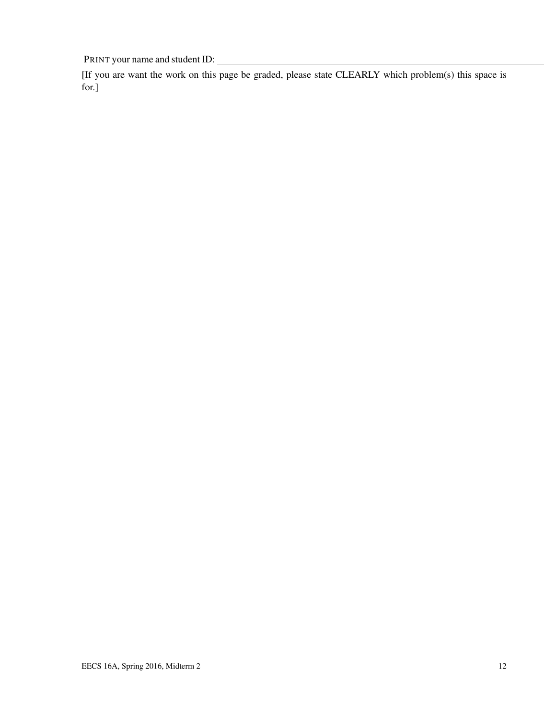PRINT your name and student ID:

[If you are want the work on this page be graded, please state CLEARLY which problem(s) this space is for.]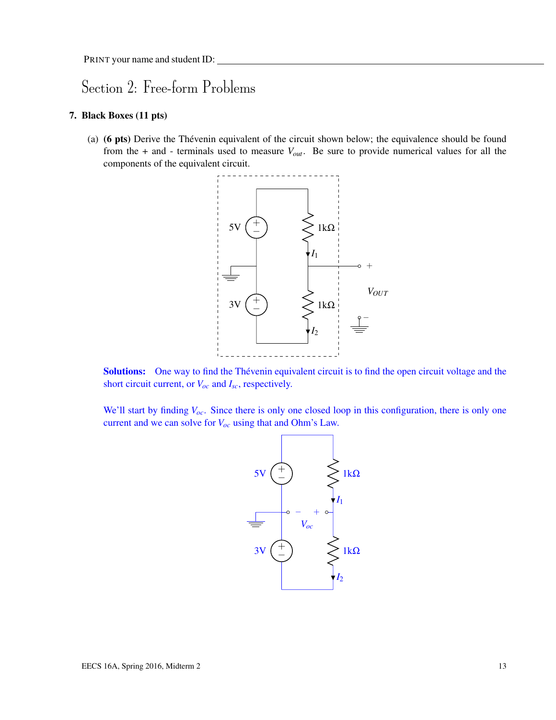### Section 2: Free-form Problems

#### 7. Black Boxes (11 pts)

(a) (6 pts) Derive the Thévenin equivalent of the circuit shown below; the equivalence should be found from the + and - terminals used to measure *Vout*. Be sure to provide numerical values for all the components of the equivalent circuit.



Solutions: One way to find the Thévenin equivalent circuit is to find the open circuit voltage and the short circuit current, or *Voc* and *Isc*, respectively.

We'll start by finding  $V_{oc}$ . Since there is only one closed loop in this configuration, there is only one current and we can solve for *Voc* using that and Ohm's Law.

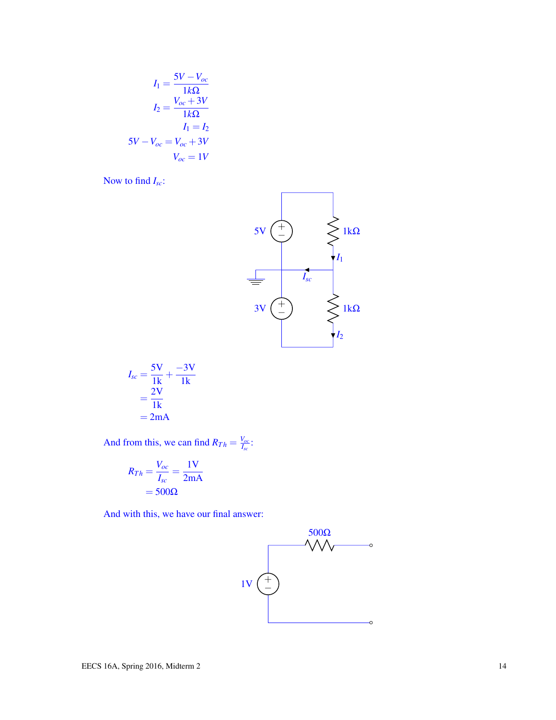$$
I_1 = \frac{5V - V_{oc}}{1k\Omega}
$$

$$
I_2 = \frac{V_{oc} + 3V}{1k\Omega}
$$

$$
I_1 = I_2
$$

$$
5V - V_{oc} = V_{oc} + 3V
$$

$$
V_{oc} = 1V
$$

Now to find *Isc*:



$$
I_{sc} = \frac{5V}{1k} + \frac{-3V}{1k}
$$

$$
= \frac{2V}{1k}
$$

$$
= 2mA
$$

And from this, we can find  $R_{Th} = \frac{V_{oc}}{I_{co}}$  $\frac{V_{OC}}{I_{SC}}$  :

$$
R_{Th} = \frac{V_{oc}}{I_{sc}} = \frac{1 \text{V}}{2 \text{mA}}
$$

$$
= 500 \Omega
$$

And with this, we have our final answer:

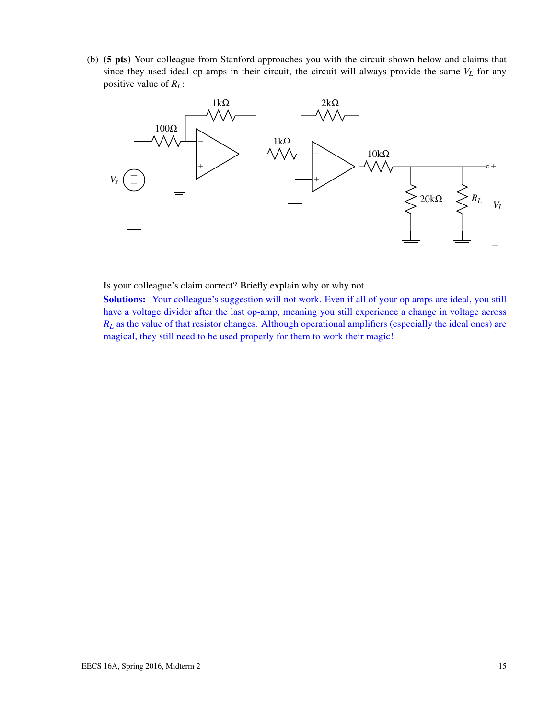(b) (5 pts) Your colleague from Stanford approaches you with the circuit shown below and claims that since they used ideal op-amps in their circuit, the circuit will always provide the same  $V_L$  for any positive value of *RL*:



Is your colleague's claim correct? Briefly explain why or why not.

Solutions: Your colleague's suggestion will not work. Even if all of your op amps are ideal, you still have a voltage divider after the last op-amp, meaning you still experience a change in voltage across *R<sup>L</sup>* as the value of that resistor changes. Although operational amplifiers (especially the ideal ones) are magical, they still need to be used properly for them to work their magic!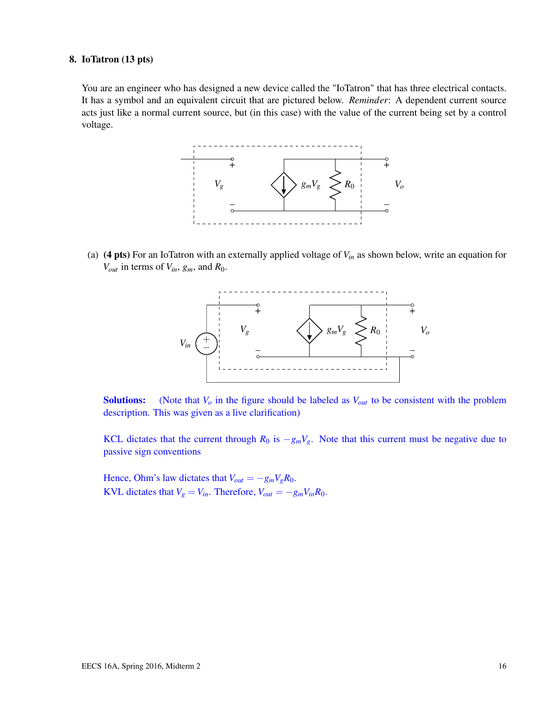#### 8. IoTatron (13 pts)

You are an engineer who has designed a new device called the "IoTatron" that has three electrical contacts. It has a symbol and an equivalent circuit that are pictured below. *Reminder*: A dependent current source acts just like a normal current source, but (in this case) with the value of the current being set by a control voltage.



(a) (4 pts) For an IoTatron with an externally applied voltage of *Vin* as shown below, write an equation for *Vout* in terms of *Vin*, *gm*, and *R*0.



Solutions: (Note that *V<sup>o</sup>* in the figure should be labeled as *Vout* to be consistent with the problem description. This was given as a live clarification)

KCL dictates that the current through  $R_0$  is  $-g_mV_g$ . Note that this current must be negative due to passive sign conventions

Hence, Ohm's law dictates that  $V_{out} = -g_m V_g R_0$ . KVL dictates that  $V_g = V_{in}$ . Therefore,  $V_{out} = -g_m V_{in} R_0$ .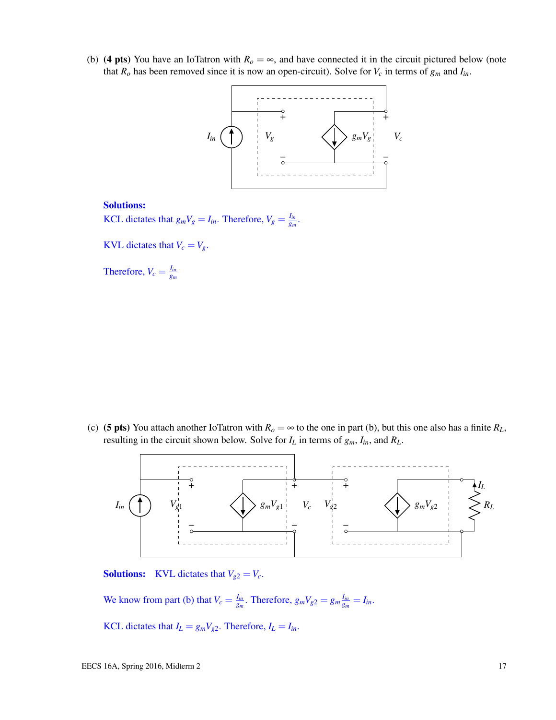(b) (4 pts) You have an IoTatron with  $R<sub>o</sub> = \infty$ , and have connected it in the circuit pictured below (note that  $R_o$  has been removed since it is now an open-circuit). Solve for  $V_c$  in terms of  $g_m$  and  $I_{in}$ .



#### Solutions:

KCL dictates that  $g_m V_g = I_{in}$ . Therefore,  $V_g = \frac{I_{in}}{g_m}$  $\frac{I_{in}}{g_m}$ .

KVL dictates that  $V_c = V_g$ .

Therefore,  $V_c = \frac{I_{in}}{q_m}$ *gm*

(c) (5 pts) You attach another IoTatron with  $R_o = \infty$  to the one in part (b), but this one also has a finite  $R_L$ , resulting in the circuit shown below. Solve for  $I_L$  in terms of  $g_m$ ,  $I_m$ , and  $R_L$ .



**Solutions:** KVL dictates that  $V_{g2} = V_c$ .

We know from part (b) that  $V_c = \frac{I_{in}}{g_m}$  $\frac{I_{in}}{g_m}$ . Therefore,  $g_m V_{g2} = g_m \frac{I_{in}}{g_m}$  $\frac{I_{in}}{g_m} = I_{in}.$ 

KCL dictates that  $I_L = g_m V_{g2}$ . Therefore,  $I_L = I_{in}$ .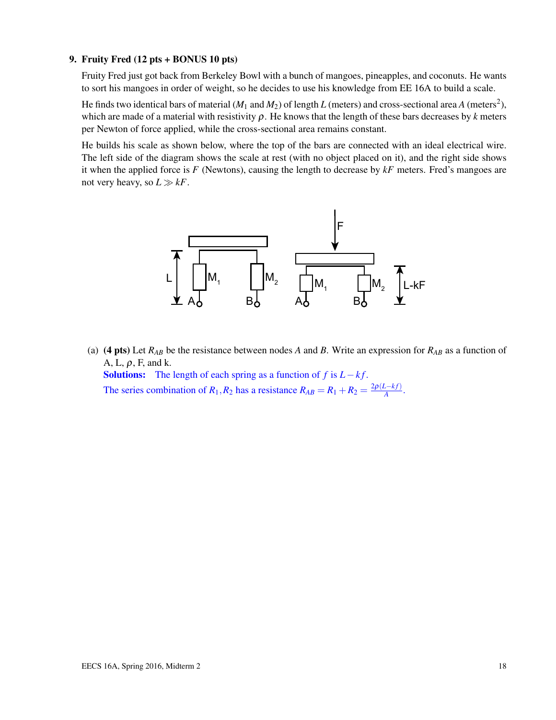#### 9. Fruity Fred (12 pts + BONUS 10 pts)

Fruity Fred just got back from Berkeley Bowl with a bunch of mangoes, pineapples, and coconuts. He wants to sort his mangoes in order of weight, so he decides to use his knowledge from EE 16A to build a scale.

He finds two identical bars of material ( $M_1$  and  $M_2$ ) of length  $L$  (meters) and cross-sectional area  $A$  (meters<sup>2</sup>), which are made of a material with resistivity  $\rho$ . He knows that the length of these bars decreases by *k* meters per Newton of force applied, while the cross-sectional area remains constant.

He builds his scale as shown below, where the top of the bars are connected with an ideal electrical wire. The left side of the diagram shows the scale at rest (with no object placed on it), and the right side shows it when the applied force is *F* (Newtons), causing the length to decrease by *kF* meters. Fred's mangoes are not very heavy, so  $L \gg kF$ .



(a) (4 pts) Let  $R_{AB}$  be the resistance between nodes A and B. Write an expression for  $R_{AB}$  as a function of A, L,  $\rho$ , F, and k.

Solutions: The length of each spring as a function of  $f$  is  $L - kf$ . The series combination of  $R_1, R_2$  has a resistance  $R_{AB} = R_1 + R_2 = \frac{2\rho(L - k f)}{A}$  $\frac{2-kJ}{A}$ .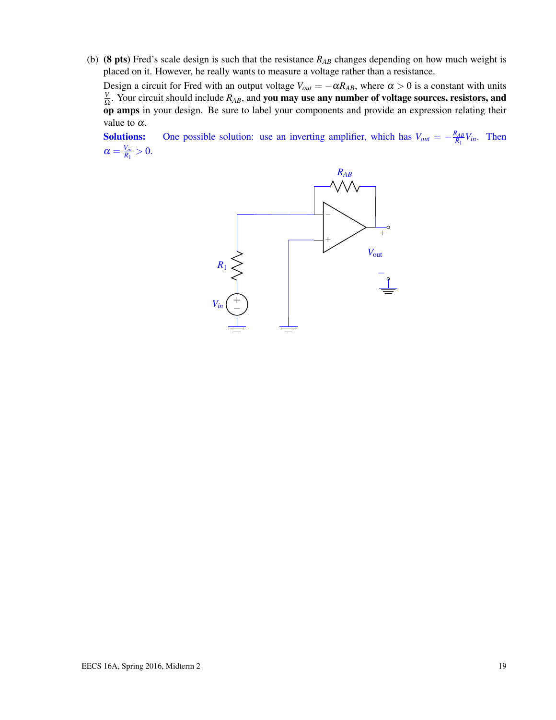(b) (8 pts) Fred's scale design is such that the resistance *RAB* changes depending on how much weight is placed on it. However, he really wants to measure a voltage rather than a resistance.

Design a circuit for Fred with an output voltage  $V_{out} = -\alpha R_{AB}$ , where  $\alpha > 0$  is a constant with units *V*  $\frac{V}{\Omega}$ . Your circuit should include  $R_{AB}$ , and **you may use any number of voltage sources, resistors, and** op amps in your design. Be sure to label your components and provide an expression relating their value to  $\alpha$ .

**Solutions:** One possible solution: use an inverting amplifier, which has  $V_{out} = -\frac{R_{AB}}{R_1}$  $\frac{X_{AB}}{R_1}V_{in}$ . Then  $\alpha = \frac{V_{in}}{R_1}$  $\frac{V_{in}}{R_1} > 0.$ 

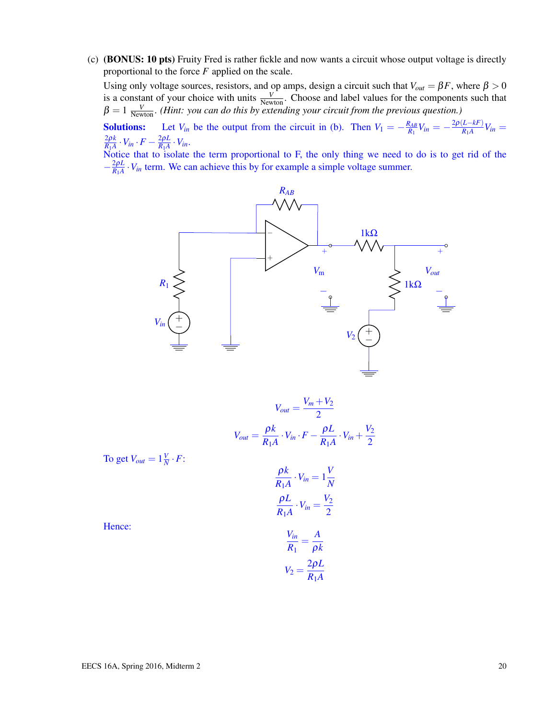(c) (BONUS: 10 pts) Fruity Fred is rather fickle and now wants a circuit whose output voltage is directly proportional to the force *F* applied on the scale.

Using only voltage sources, resistors, and op amps, design a circuit such that  $V_{out} = \beta F$ , where  $\beta > 0$ is a constant of your choice with units  $\frac{V}{N_{\text{ewton}}}$ . Choose and label values for the components such that  $\beta = 1 \frac{V}{N_{\text{ewton}}}$ . *(Hint: you can do this by extending your circuit from the previous question.)* 

**Solutions:** Let  $V_{in}$  be the output from the circuit in (b). Then  $V_1 = -\frac{R_{AB}}{R_1}$  $\frac{R_{AB}}{R_1}V_{in}=-\frac{2\rho\left(L-kF\right)}{R_1A}$  $\frac{L - \kappa r}{R_1 A} V_{in} =$ 2ρ*k*  $\frac{2\rho k}{R_1A}\cdot V_{in}\cdot F-\frac{2\rho L}{R_1A}$  $\frac{2\rho L}{R_1 A} \cdot V_{in}$ .

Notice that to isolate the term proportional to F, the only thing we need to do is to get rid of the  $-\frac{2\rho L}{R_1 A}$  $\frac{2\rho L}{R_1 A} \cdot V_{in}$  term. We can achieve this by for example a simple voltage summer.



$$
V_{out} = \frac{V_m + V_2}{2}
$$

$$
V_{out} = \frac{\rho k}{R_1 A} \cdot V_{in} \cdot F - \frac{\rho L}{R_1 A} \cdot V_{in} + \frac{V_2}{2}
$$

To get  $V_{out} = 1\frac{V}{N}$  $\frac{V}{N} \cdot F$ :

$$
\frac{\rho k}{R_1 A} \cdot V_{in} = 1 \frac{V}{N}
$$

$$
\frac{\rho L}{R_1 A} \cdot V_{in} = \frac{V_2}{2}
$$

Hence:

$$
\frac{V_{in}}{R_1} = \frac{A}{\rho k}
$$

$$
V_2 = \frac{2\rho L}{R_1 A}
$$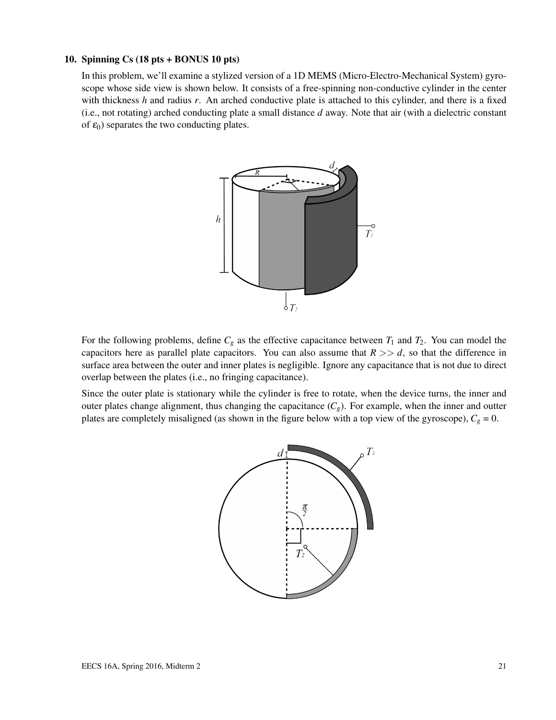#### 10. Spinning Cs (18 pts + BONUS 10 pts)

In this problem, we'll examine a stylized version of a 1D MEMS (Micro-Electro-Mechanical System) gyroscope whose side view is shown below. It consists of a free-spinning non-conductive cylinder in the center with thickness *h* and radius *r*. An arched conductive plate is attached to this cylinder, and there is a fixed (i.e., not rotating) arched conducting plate a small distance *d* away. Note that air (with a dielectric constant of  $\varepsilon_0$ ) separates the two conducting plates.



For the following problems, define  $C_g$  as the effective capacitance between  $T_1$  and  $T_2$ . You can model the capacitors here as parallel plate capacitors. You can also assume that  $R \gg d$ , so that the difference in surface area between the outer and inner plates is negligible. Ignore any capacitance that is not due to direct overlap between the plates (i.e., no fringing capacitance).

Since the outer plate is stationary while the cylinder is free to rotate, when the device turns, the inner and outer plates change alignment, thus changing the capacitance  $(C_g)$ . For example, when the inner and outter plates are completely misaligned (as shown in the figure below with a top view of the gyroscope),  $C_g = 0$ .

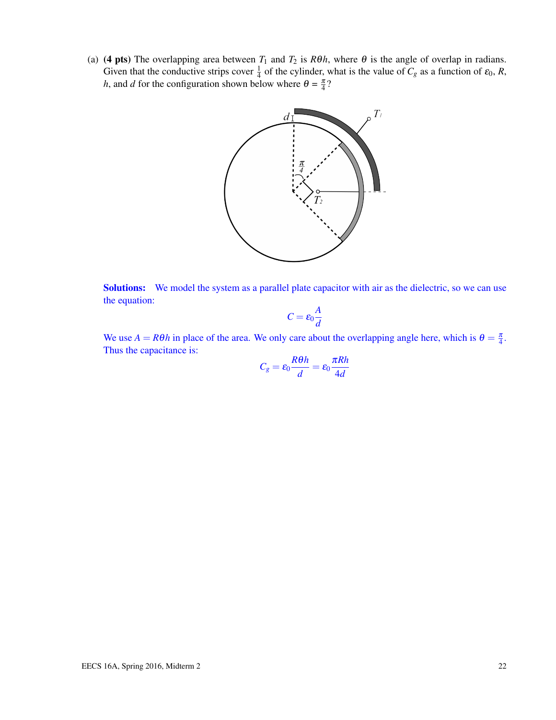(a) (4 pts) The overlapping area between  $T_1$  and  $T_2$  is  $R\theta h$ , where  $\theta$  is the angle of overlap in radians. Given that the conductive strips cover  $\frac{1}{4}$  of the cylinder, what is the value of  $C_g$  as a function of  $\varepsilon_0$ ,  $R$ , *h*, and *d* for the configuration shown below where  $\theta = \frac{\pi}{4}$ ?



Solutions: We model the system as a parallel plate capacitor with air as the dielectric, so we can use the equation:

$$
C=\varepsilon_0\frac{A}{d}
$$

We use  $A = R\theta h$  in place of the area. We only care about the overlapping angle here, which is  $\theta = \frac{\pi}{4}$ . Thus the capacitance is:

$$
C_g = \varepsilon_0 \frac{R\theta h}{d} = \varepsilon_0 \frac{\pi R h}{4d}
$$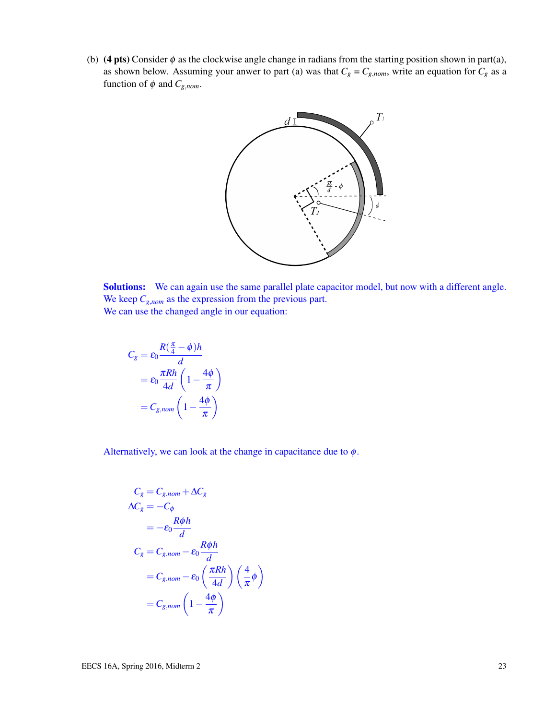(b) (4 pts) Consider  $\phi$  as the clockwise angle change in radians from the starting position shown in part(a), as shown below. Assuming your anwer to part (a) was that  $C_g = C_{g,nom}$ , write an equation for  $C_g$  as a function of  $\phi$  and  $C_{g,nom}$ .



Solutions: We can again use the same parallel plate capacitor model, but now with a different angle. We keep  $C_{g,nom}$  as the expression from the previous part. We can use the changed angle in our equation:

$$
C_g = \varepsilon_0 \frac{R(\frac{\pi}{4} - \phi)h}{d}
$$

$$
= \varepsilon_0 \frac{\pi Rh}{4d} \left(1 - \frac{4\phi}{\pi}\right)
$$

$$
= C_{g,nom} \left(1 - \frac{4\phi}{\pi}\right)
$$

Alternatively, we can look at the change in capacitance due to  $\phi$ .

$$
C_g = C_{g,nom} + \Delta C_g
$$
  
\n
$$
\Delta C_g = -C_{\phi}
$$
  
\n
$$
= -\varepsilon_0 \frac{R\phi h}{d}
$$
  
\n
$$
C_g = C_{g,nom} - \varepsilon_0 \frac{R\phi h}{d}
$$
  
\n
$$
= C_{g,nom} - \varepsilon_0 \left(\frac{\pi R h}{4d}\right) \left(\frac{4}{\pi}\phi\right)
$$
  
\n
$$
= C_{g,nom} \left(1 - \frac{4\phi}{\pi}\right)
$$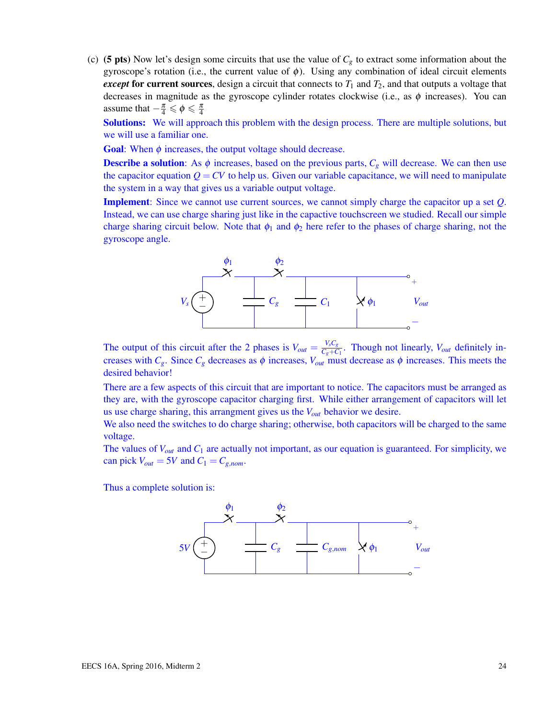(c) (5 pts) Now let's design some circuits that use the value of  $C_g$  to extract some information about the gyroscope's rotation (i.e., the current value of  $\phi$ ). Using any combination of ideal circuit elements *except* for current sources, design a circuit that connects to  $T_1$  and  $T_2$ , and that outputs a voltage that decreases in magnitude as the gyroscope cylinder rotates clockwise (i.e., as  $\phi$  increases). You can assume that  $-\frac{\pi}{4} \leq \phi \leq \frac{\pi}{4}$ 

Solutions: We will approach this problem with the design process. There are multiple solutions, but we will use a familiar one.

**Goal:** When  $\phi$  increases, the output voltage should decrease.

**Describe a solution**: As  $\phi$  increases, based on the previous parts,  $C_g$  will decrease. We can then use the capacitor equation  $Q = CV$  to help us. Given our variable capacitance, we will need to manipulate the system in a way that gives us a variable output voltage.

Implement: Since we cannot use current sources, we cannot simply charge the capacitor up a set *Q*. Instead, we can use charge sharing just like in the capactive touchscreen we studied. Recall our simple charge sharing circuit below. Note that  $\phi_1$  and  $\phi_2$  here refer to the phases of charge sharing, not the gyroscope angle.



The output of this circuit after the 2 phases is  $V_{out} = \frac{V_s C_g}{C_s + C_s}$  $\frac{v_s c_g}{c_g + C_1}$ . Though not linearly, *V*<sub>*out*</sub> definitely increases with  $C_g$ . Since  $C_g$  decreases as  $\phi$  increases,  $V_{out}$  must decrease as  $\phi$  increases. This meets the desired behavior!

There are a few aspects of this circuit that are important to notice. The capacitors must be arranged as they are, with the gyroscope capacitor charging first. While either arrangement of capacitors will let us use charge sharing, this arrangment gives us the *Vout* behavior we desire.

We also need the switches to do charge sharing; otherwise, both capacitors will be charged to the same voltage.

The values of *Vout* and *C*<sup>1</sup> are actually not important, as our equation is guaranteed. For simplicity, we can pick  $V_{out} = 5V$  and  $C_1 = C_{g,nom}$ .

Thus a complete solution is:

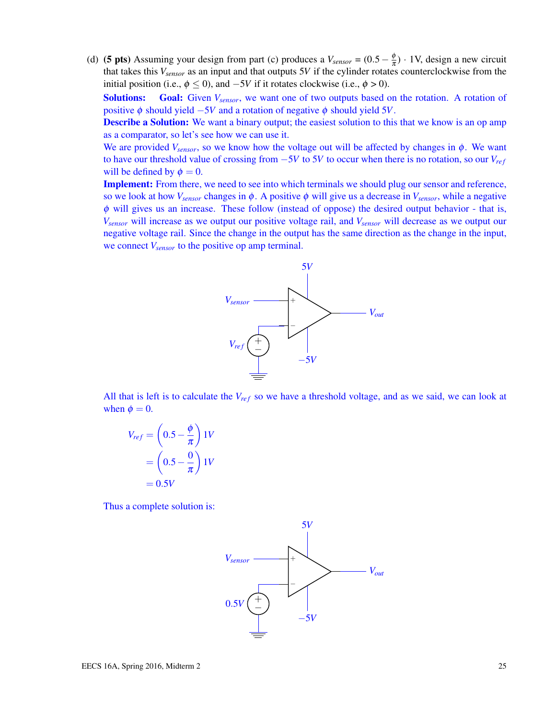(d) (**5 pts**) Assuming your design from part (c) produces a  $V_{sensor} = (0.5 - \frac{\phi}{\pi})$  $\frac{\varphi}{\pi}$ ) · 1V, design a new circuit that takes this *Vsensor* as an input and that outputs 5*V* if the cylinder rotates counterclockwise from the initial position (i.e.,  $\phi \le 0$ ), and  $-5V$  if it rotates clockwise (i.e.,  $\phi > 0$ ).

Solutions: Goal: Given  $V_{sensor}$ , we want one of two outputs based on the rotation. A rotation of positive  $\phi$  should yield  $-5V$  and a rotation of negative  $\phi$  should yield 5*V*.

**Describe a Solution:** We want a binary output; the easiest solution to this that we know is an op amp as a comparator, so let's see how we can use it.

We are provided  $V_{sensor}$ , so we know how the voltage out will be affected by changes in  $\phi$ . We want to have our threshold value of crossing from −5*V* to 5*V* to occur when there is no rotation, so our *V<sub>ref</sub>* will be defined by  $\phi = 0$ .

Implement: From there, we need to see into which terminals we should plug our sensor and reference, so we look at how  $V_{sensor}$  changes in  $\phi$ . A positive  $\phi$  will give us a decrease in  $V_{sensor}$ , while a negative  $\phi$  will gives us an increase. These follow (instead of oppose) the desired output behavior - that is, *Vsensor* will increase as we output our positive voltage rail, and *Vsensor* will decrease as we output our negative voltage rail. Since the change in the output has the same direction as the change in the input, we connect *Vsensor* to the positive op amp terminal.



All that is left is to calculate the  $V_{ref}$  so we have a threshold voltage, and as we said, we can look at when  $\phi = 0$ .

$$
V_{ref} = \left(0.5 - \frac{\phi}{\pi}\right)1V
$$

$$
= \left(0.5 - \frac{0}{\pi}\right)1V
$$

$$
= 0.5V
$$

Thus a complete solution is:

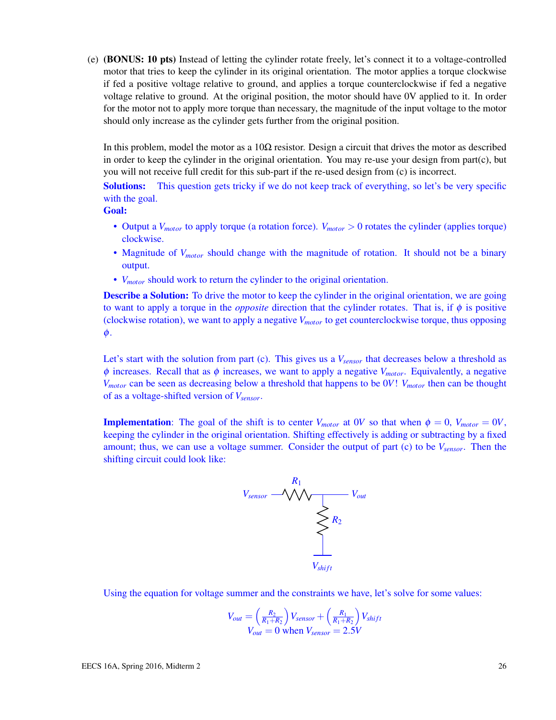(e) (BONUS: 10 pts) Instead of letting the cylinder rotate freely, let's connect it to a voltage-controlled motor that tries to keep the cylinder in its original orientation. The motor applies a torque clockwise if fed a positive voltage relative to ground, and applies a torque counterclockwise if fed a negative voltage relative to ground. At the original position, the motor should have 0V applied to it. In order for the motor not to apply more torque than necessary, the magnitude of the input voltage to the motor should only increase as the cylinder gets further from the original position.

In this problem, model the motor as a  $10\Omega$  resistor. Design a circuit that drives the motor as described in order to keep the cylinder in the original orientation. You may re-use your design from part(c), but you will not receive full credit for this sub-part if the re-used design from (c) is incorrect.

Solutions: This question gets tricky if we do not keep track of everything, so let's be very specific with the goal.

Goal:

- Output a *V<sub>motor</sub>* to apply torque (a rotation force). *V<sub>motor</sub>* > 0 rotates the cylinder (applies torque) clockwise.
- Magnitude of *Vmotor* should change with the magnitude of rotation. It should not be a binary output.
- *Vmotor* should work to return the cylinder to the original orientation.

**Describe a Solution:** To drive the motor to keep the cylinder in the original orientation, we are going to want to apply a torque in the *opposite* direction that the cylinder rotates. That is, if φ is positive (clockwise rotation), we want to apply a negative *Vmotor* to get counterclockwise torque, thus opposing φ.

Let's start with the solution from part (c). This gives us a *Vsensor* that decreases below a threshold as  $\phi$  increases. Recall that as  $\phi$  increases, we want to apply a negative  $V_{motor}$ . Equivalently, a negative *Vmotor* can be seen as decreasing below a threshold that happens to be 0*V*! *Vmotor* then can be thought of as a voltage-shifted version of *Vsensor*.

**Implementation**: The goal of the shift is to center  $V_{motor}$  at 0*V* so that when  $\phi = 0$ ,  $V_{motor} = 0V$ , keeping the cylinder in the original orientation. Shifting effectively is adding or subtracting by a fixed amount; thus, we can use a voltage summer. Consider the output of part (c) to be *Vsensor*. Then the shifting circuit could look like:



Using the equation for voltage summer and the constraints we have, let's solve for some values:

$$
V_{out} = \left(\frac{R_2}{R_1 + R_2}\right) V_{sensor} + \left(\frac{R_1}{R_1 + R_2}\right) V_{shift}
$$
  

$$
V_{out} = 0 \text{ when } V_{sensor} = 2.5V
$$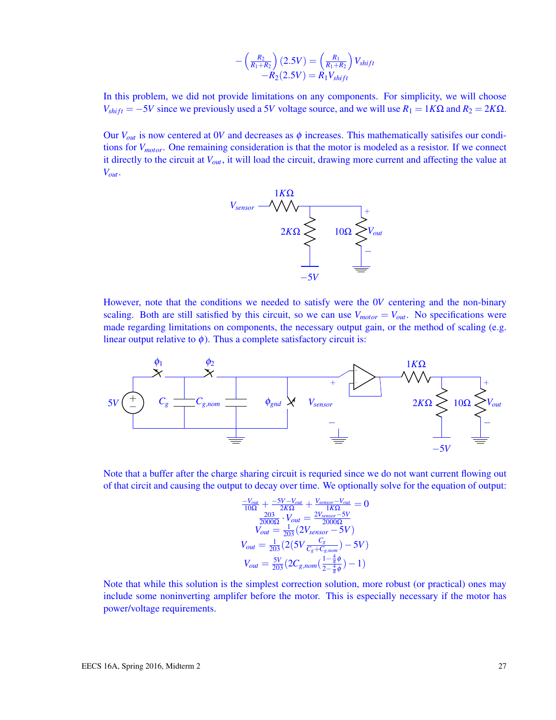$$
-\left(\frac{R_2}{R_1+R_2}\right)(2.5V) = \left(\frac{R_1}{R_1+R_2}\right)V_{shift} -R_2(2.5V) = R_1V_{shift}
$$

In this problem, we did not provide limitations on any components. For simplicity, we will choose  $V_{shift} = -5V$  since we previously used a 5*V* voltage source, and we will use  $R_1 = 1K\Omega$  and  $R_2 = 2K\Omega$ .

Our  $V_{out}$  is now centered at 0*V* and decreases as  $\phi$  increases. This mathematically satisifes our conditions for *Vmotor*. One remaining consideration is that the motor is modeled as a resistor. If we connect it directly to the circuit at *Vout*, it will load the circuit, drawing more current and affecting the value at *Vout*.



However, note that the conditions we needed to satisfy were the 0*V* centering and the non-binary scaling. Both are still satisfied by this circuit, so we can use  $V_{motor} = V_{out}$ . No specifications were made regarding limitations on components, the necessary output gain, or the method of scaling (e.g. linear output relative to  $\phi$ ). Thus a complete satisfactory circuit is:



Note that a buffer after the charge sharing circuit is requried since we do not want current flowing out of that circit and causing the output to decay over time. We optionally solve for the equation of output:

$$
\frac{-V_{out}}{10\Omega} + \frac{-5V - V_{out}}{2K\Omega} + \frac{V_{sensor} - V_{out}}{1K\Omega} = 0
$$
  
\n
$$
\frac{203}{200\Omega} \cdot V_{out} = \frac{2V_{sensor} - 5V}{2000\Omega}
$$
  
\n
$$
V_{out} = \frac{1}{203} (2V_{sensor} - 5V)
$$
  
\n
$$
V_{out} = \frac{1}{203} (2(5V \frac{C_g}{C_g + C_{g,nom}}) - 5V)
$$
  
\n
$$
V_{out} = \frac{5V}{203} (2C_{g,nom} (\frac{1 - \frac{4}{\pi}\phi}{2 - \frac{4}{\pi}\phi}) - 1)
$$

Note that while this solution is the simplest correction solution, more robust (or practical) ones may include some noninverting amplifer before the motor. This is especially necessary if the motor has power/voltage requirements.